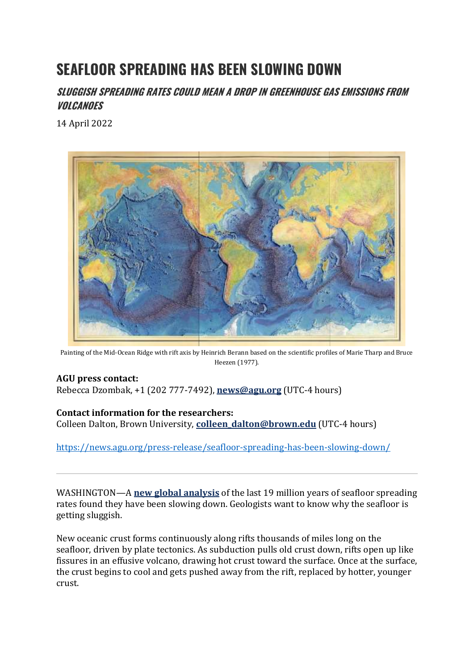# **SEAFLOOR SPREADING HAS BEEN SLOWING DOWN**

**SLUGGISH SPREADING RATES COULD MEAN A DROP IN GREENHOUSE GAS EMISSIONS FROM VOLCANOES**

14 April 2022



Painting of the Mid-Ocean Ridge with rift axis by Heinrich Berann based on the scientific profiles of Marie Tharp and Bruce Heezen (1977).

# **AGU press contact:**

Rebecca Dzombak, +1 (202 777-7492), **[news@agu.org](mailto:news@agu.org)** (UTC-4 hours)

# **Contact information for the researchers:**

Colleen Dalton, Brown University, **[colleen\\_dalton@brown.edu](mailto:colleen_dalton@brown.edu)** (UTC-4 hours)

<https://news.agu.org/press-release/seafloor-spreading-has-been-slowing-down/>

WASHINGTON—A **[new global analysis](https://agupubs.onlinelibrary.wiley.com/doi/10.1029/2022GL097937?af=R)** of the last 19 million years of seafloor spreading rates found they have been slowing down. Geologists want to know why the seafloor is getting sluggish.

New oceanic crust forms continuously along rifts thousands of miles long on the seafloor, driven by plate tectonics. As subduction pulls old crust down, rifts open up like fissures in an effusive volcano, drawing hot crust toward the surface. Once at the surface, the crust begins to cool and gets pushed away from the rift, replaced by hotter, younger crust.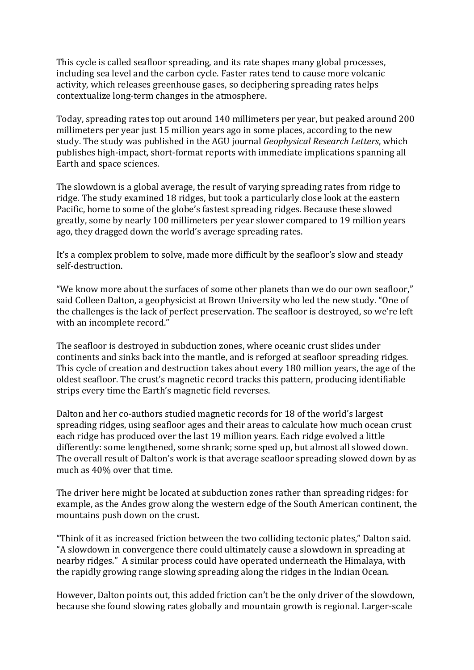This cycle is called seafloor spreading, and its rate shapes many global processes, including sea level and the carbon cycle. Faster rates tend to cause more volcanic activity, which releases greenhouse gases, so deciphering spreading rates helps contextualize long-term changes in the atmosphere.

Today, spreading rates top out around 140 millimeters per year, but peaked around 200 millimeters per year just 15 million years ago in some places, according to the new study. The study was published in the AGU journal *Geophysical Research Letters*, which publishes high-impact, short-format reports with immediate implications spanning all Earth and space sciences.

The slowdown is a global average, the result of varying spreading rates from ridge to ridge. The study examined 18 ridges, but took a particularly close look at the eastern Pacific, home to some of the globe's fastest spreading ridges. Because these slowed greatly, some by nearly 100 millimeters per year slower compared to 19 million years ago, they dragged down the world's average spreading rates.

It's a complex problem to solve, made more difficult by the seafloor's slow and steady self-destruction.

"We know more about the surfaces of some other planets than we do our own seafloor," said Colleen Dalton, a geophysicist at Brown University who led the new study. "One of the challenges is the lack of perfect preservation. The seafloor is destroyed, so we're left with an incomplete record."

The seafloor is destroyed in subduction zones, where oceanic crust slides under continents and sinks back into the mantle, and is reforged at seafloor spreading ridges. This cycle of creation and destruction takes about every 180 million years, the age of the oldest seafloor. The crust's magnetic record tracks this pattern, producing identifiable strips every time the Earth's magnetic field reverses.

Dalton and her co-authors studied magnetic records for 18 of the world's largest spreading ridges, using seafloor ages and their areas to calculate how much ocean crust each ridge has produced over the last 19 million years. Each ridge evolved a little differently: some lengthened, some shrank; some sped up, but almost all slowed down. The overall result of Dalton's work is that average seafloor spreading slowed down by as much as 40% over that time.

The driver here might be located at subduction zones rather than spreading ridges: for example, as the Andes grow along the western edge of the South American continent, the mountains push down on the crust.

"Think of it as increased friction between the two colliding tectonic plates," Dalton said. "A slowdown in convergence there could ultimately cause a slowdown in spreading at nearby ridges." A similar process could have operated underneath the Himalaya, with the rapidly growing range slowing spreading along the ridges in the Indian Ocean.

However, Dalton points out, this added friction can't be the only driver of the slowdown, because she found slowing rates globally and mountain growth is regional. Larger-scale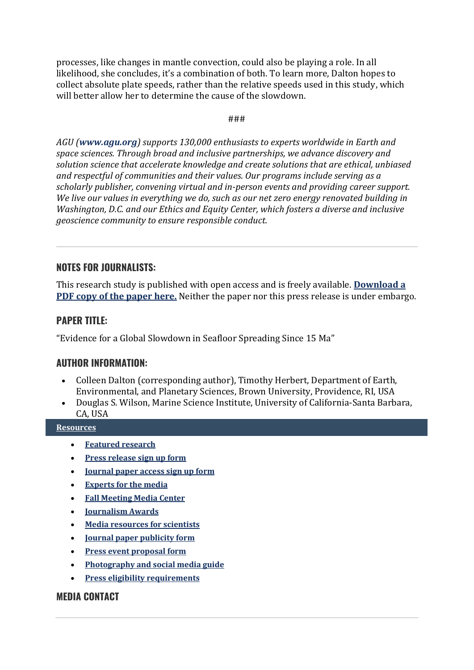processes, like changes in mantle convection, could also be playing a role. In all likelihood, she concludes, it's a combination of both. To learn more, Dalton hopes to collect absolute plate speeds, rather than the relative speeds used in this study, which will better allow her to determine the cause of the slowdown.

###

*AGU ([www.agu.org](http://www.agu.org/)) supports 130,000 enthusiasts to experts worldwide in Earth and space sciences. Through broad and inclusive partnerships, we advance discovery and solution science that accelerate knowledge and create solutions that are ethical, unbiased and respectful of communities and their values. Our programs include serving as a scholarly publisher, convening virtual and in-person events and providing career support. We live our values in everything we do, such as our net zero energy renovated building in Washington, D.C. and our Ethics and Equity Center, which fosters a diverse and inclusive geoscience community to ensure responsible conduct.*

# **NOTES FOR JOURNALISTS:**

This research study is published with open access and is freely available. **[Download a](https://agupubs.onlinelibrary.wiley.com/doi/10.1029/2022GL097937)  [PDF copy of the paper here.](https://agupubs.onlinelibrary.wiley.com/doi/10.1029/2022GL097937)** Neither the paper nor this press release is under embargo.

# **PAPER TITLE:**

"Evidence for a Global Slowdown in Seafloor Spreading Since 15 Ma"

#### **AUTHOR INFORMATION:**

- Colleen Dalton (corresponding author), Timothy Herbert, Department of Earth, Environmental, and Planetary Sciences, Brown University, Providence, RI, USA
- Douglas S. Wilson, Marine Science Institute, University of California-Santa Barbara, CA, USA

#### **[Resources](https://news.agu.org/press-release/seafloor-spreading-has-been-slowing-down/)**

- **[Featured research](https://mediacenter.agu.org/featured-research/)**
- **[Press release sign up form](https://forms.agu.org/press-release-signup/)**
- **[Journal paper access sign up form](https://forms.agu.org/register-for-journal-paper-access/)**
- **[Experts for the media](https://www.agu.org/Stay-Informed/Stay-Informed/Find-Science-Expert)**
- **[Fall Meeting Media Center](https://www.agu.org/Fall-Meeting/Pages/Attend/Media-Center)**
- **[Journalism Awards](https://www.agu.org/Honor-and-Recognize/Honors/Journalism-Awards)**
- **[Media resources for scientists](https://www.agu.org/Share-and-Advocate/Share/#3)**
- **[Journal paper publicity form](https://forms.agu.org/publicity-q-and-a/)**
- **[Press event proposal form](https://forms.agu.org/agu-press-event-proposal-form/)**
- **[Photography and social media guide](https://www.agu.org/Plan-for-a-Meeting/AGUMeetings/Meetings-Resources/Photography-and-social-media-guidelines)**
- **[Press eligibility requirements](https://www.agu.org/Stay-Informed/Stay-Informed/Cover-Meeting)**

#### **MEDIA CONTACT**